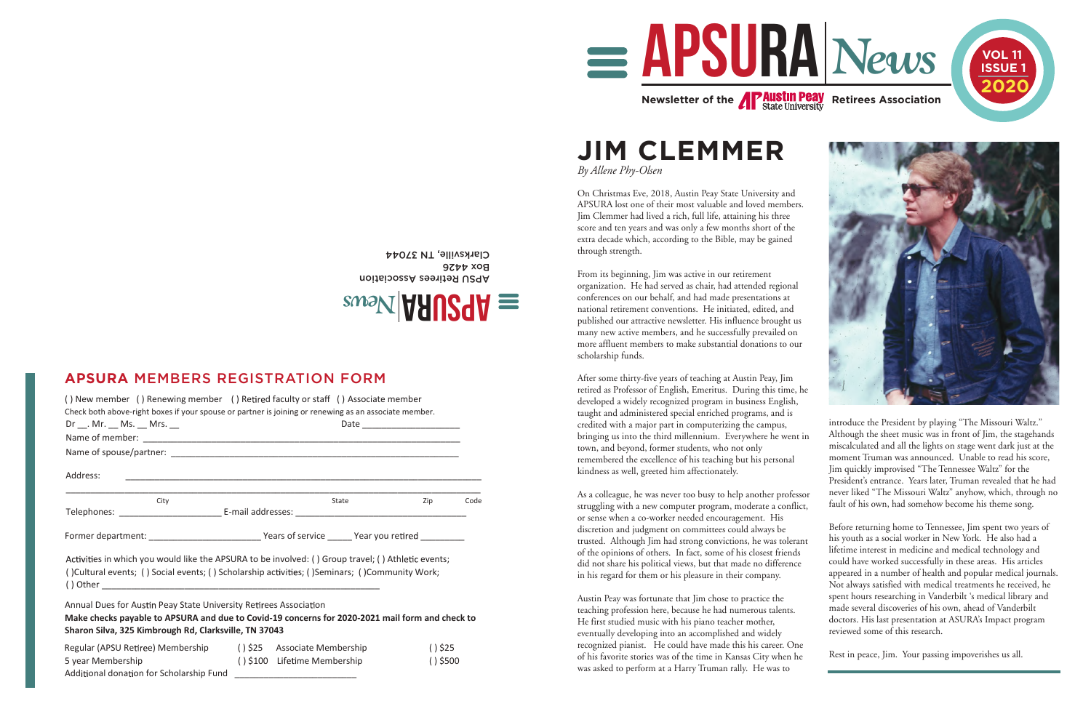**JIM CLEMMER**

*By Allene Phy-Olsen*

On Christmas Eve, 2018, Austin Peay State University and APSURA lost one of their most valuable and loved members. Jim Clemmer had lived a rich, full life, attaining his three score and ten years and was only a few months short of the extra decade which, according to the Bible, may be gained through strength.

From its beginning, Jim was active in our retirement organization. He had served as chair, had attended regional conferences on our behalf, and had made presentations at national retirement conventions. He initiated, edited, and published our attractive newsletter. His influence brought us many new active members, and he successfully prevailed on more affluent members to make substantial donations to our scholarship funds.

After some thirty-five years of teaching at Austin Peay, Jim retired as Professor of English, Emeritus. During this time, he developed a widely recognized program in business English, taught and administered special enriched programs, and is credited with a major part in computerizing the campus, bringing us into the third millennium. Everywhere he went in town, and beyond, former students, who not only remembered the excellence of his teaching but his personal kindness as well, greeted him affectionately. As a colleague, he was never too busy to help another professor introduce the President by playing "The Missouri Waltz." Although the sheet music was in front of Jim, the stagehands miscalculated and all the lights on stage went dark just at the moment Truman was announced. Unable to read his score, Jim quickly improvised "The Tennessee Waltz" for the President's entrance. Years later, Truman revealed that he had

struggling with a new computer program, moderate a conflict, or sense when a co-worker needed encouragement. His discretion and judgment on committees could always be trusted. Although Jim had strong convictions, he was tolerant of the opinions of others. In fact, some of his closest friends did not share his political views, but that made no difference in his regard for them or his pleasure in their company. Austin Peay was fortunate that Jim chose to practice the teaching profession here, because he had numerous talents. He first studied music with his piano teacher mother, never liked "The Missouri Waltz" anyhow, which, through no fault of his own, had somehow become his theme song. Before returning home to Tennessee, Jim spent two years of his youth as a social worker in New York. He also had a lifetime interest in medicine and medical technology and could have worked successfully in these areas. His articles appeared in a number of health and popular medical journals. Not always satisfied with medical treatments he received, he spent hours researching in Vanderbilt 's medical library and made several discoveries of his own, ahead of Vanderbilt doctors. His last presentation at ASURA's Impact program reviewed some of this research.

eventually developing into an accomplished and widely recognized pianist. He could have made this his career. One of his favorite stories was of the time in Kansas City when he was asked to perform at a Harry Truman rally. He was to Rest in peace, Jim. Your passing impoverishes us all.

APSU Refirees Association **Box 4426** Clarksville, TN 37044

| () New member () Renewing member () Retired faculty or staff () Associate member<br>Check both above-right boxes if your spouse or partner is joining or renewing as an associate member.                                     |                               |                                                             |                         |      |
|-------------------------------------------------------------------------------------------------------------------------------------------------------------------------------------------------------------------------------|-------------------------------|-------------------------------------------------------------|-------------------------|------|
| $Dr$ __. Mr. __ Ms. __ Mrs. __                                                                                                                                                                                                | Date ________________________ |                                                             |                         |      |
|                                                                                                                                                                                                                               |                               |                                                             |                         |      |
|                                                                                                                                                                                                                               |                               |                                                             |                         |      |
| Address:                                                                                                                                                                                                                      |                               | <u> 1989 - Johann Stoff, amerikansk politiker (d. 1989)</u> |                         |      |
| City                                                                                                                                                                                                                          |                               | State                                                       | Zip                     | Code |
|                                                                                                                                                                                                                               |                               |                                                             |                         |      |
| Former department: ________________________________Years of service _______Year you retired ____________                                                                                                                      |                               |                                                             |                         |      |
| Activities in which you would like the APSURA to be involved: () Group travel; () Athletic events;<br>() Cultural events; () Social events; () Scholarship activities; () Seminars; () Community Work;                        |                               |                                                             |                         |      |
| Annual Dues for Austin Peay State University Retirees Association<br>Make checks payable to APSURA and due to Covid-19 concerns for 2020-2021 mail form and check to<br>Sharon Silva, 325 Kimbrough Rd, Clarksville, TN 37043 |                               |                                                             |                         |      |
| Regular (APSU Retiree) Membership (1) \$25 Associate Membership<br>5 year Membership<br>Additional donation for Scholarship Fund                                                                                              |                               | () \$100 Lifetime Membership                                | $()$ \$25<br>$()$ \$500 |      |





## **APSURA** MEMBERS REGISTRATION FORM

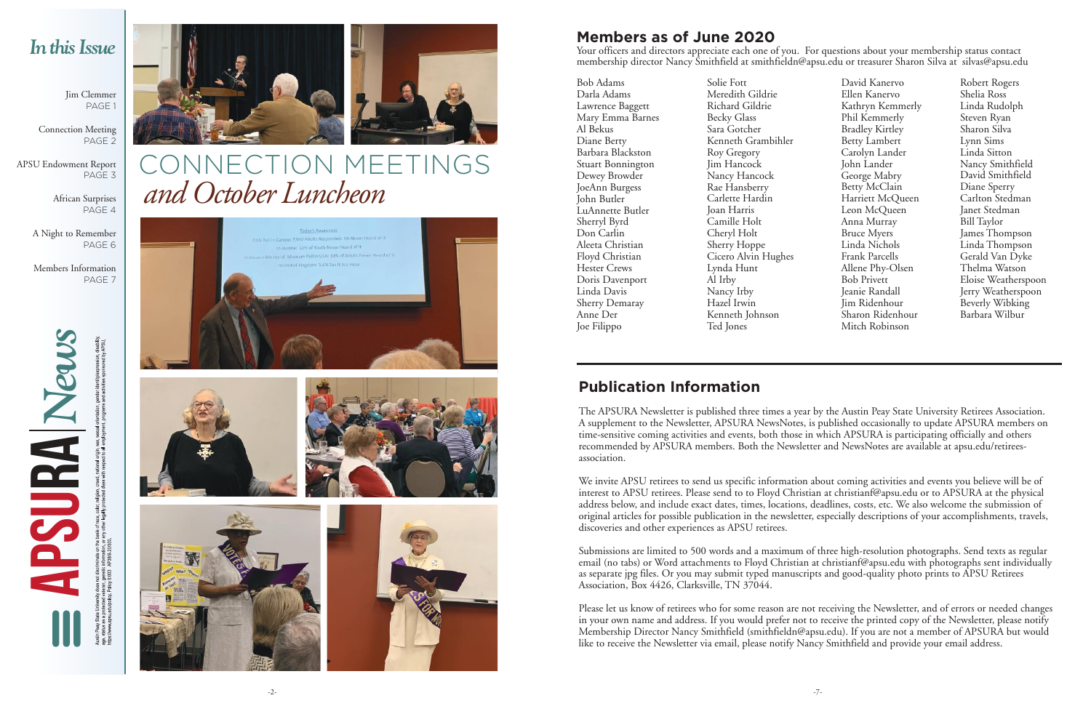Jim Clemmer PAGE<sup>1</sup>

## NNECTION MEETINGS *and October Luncheon*







Connection Meeting PAGE 2

APSU Endowment Report PAGE 3

> African Surprises PAGE 4

A Night to Remember PAGE 6

Members Information PAGE 7

## *In this Issue*

**APSURA** *News*







## **Publication Information**

The APSURA Newsletter is published three times a year by the Austin Peay State University Retirees Association. A supplement to the Newsletter, APSURA NewsNotes, is published occasionally to update APSURA members on time-sensitive coming activities and events, both those in which APSURA is participating officially and others recommended by APSURA members. Both the Newsletter and NewsNotes are available at apsu.edu/retireesassociation.

We invite APSU retirees to send us specific information about coming activities and events you believe will be of interest to APSU retirees. Please send to to Floyd Christian at christianf@apsu.edu or to APSURA at the physical address below, and include exact dates, times, locations, deadlines, costs, etc. We also welcome the submission of original articles for possible publication in the newsletter, especially descriptions of your accomplishments, travels, discoveries and other experiences as APSU retirees.

Submissions are limited to 500 words and a maximum of three high-resolution photographs. Send texts as regular email (no tabs) or Word attachments to Floyd Christian at christianf@apsu.edu with photographs sent individually as separate jpg files. Or you may submit typed manuscripts and good-quality photo prints to APSU Retirees Association, Box 4426, Clarksville, TN 37044.

Please let us know of retirees who for some reason are not receiving the Newsletter, and of errors or needed changes in your own name and address. If you would prefer not to receive the printed copy of the Newsletter, please notify Membership Director Nancy Smithfield (smithfieldn@apsu.edu). If you are not a member of APSURA but would like to receive the Newsletter via email, please notify Nancy Smithfield and provide your email address.

Bob Adams Darla Adams Lawrence Baggett Mary Emma Barnes Al Bekus Diane Berty Barbara Blackston Stuart Bonnington Dewey Browder JoeAnn Burgess John Butler LuAnnette Butler Sherryl Byrd Don Carlin Aleeta Christian Floyd Christian Hester Crews Doris Davenport Linda Davis Sherry Demaray Anne Der Joe Filippo

Solie Fott Meredith Gildrie Richard Gildrie Becky Glass Sara Gotcher Kenneth Grambihler Roy Gregory Jim Hancock Nancy Hancock Rae Hansberry Carlette Hardin Joan Harris Camille Holt Cheryl Holt Sherry Hoppe Cicero Alvin Hughes Lynda Hunt Al Irby Nancy Irby Hazel Irwin Kenneth Johnson Ted Jones

David Kanervo Ellen Kanervo Kathryn Kemmerly Phil Kemmerly Bradley Kirtley Betty Lambert Carolyn Lander John Lander George Mabry Betty McClain Harriett McQueen Leon McQueen Anna Murray Bruce Myers Linda Nichols Frank Parcells Allene Phy-Olsen Bob Privett Jeanie Randall Jim Ridenhour Sharon Ridenhour Mitch Robinson

Robert Rogers Shelia Ross Linda Rudolph Steven Ryan Sharon Silva Lynn Sims Linda Sitton Nancy Smithfield David Smithfield Diane Sperry Carlton Stedman Janet Stedman Bill Taylor James Thompson Linda Thompson Gerald Van Dyke Thelma Watson Eloise Weatherspoon Jerry Weatherspoon Beverly Wibking Barbara Wilbur

# **Members as of June 2020**

Your officers and directors appreciate each one of you. For questions about your membership status contact membership director Nancy Smithfield at smithfieldn@apsu.edu or treasurer Sharon Silva at silvas@apsu.edu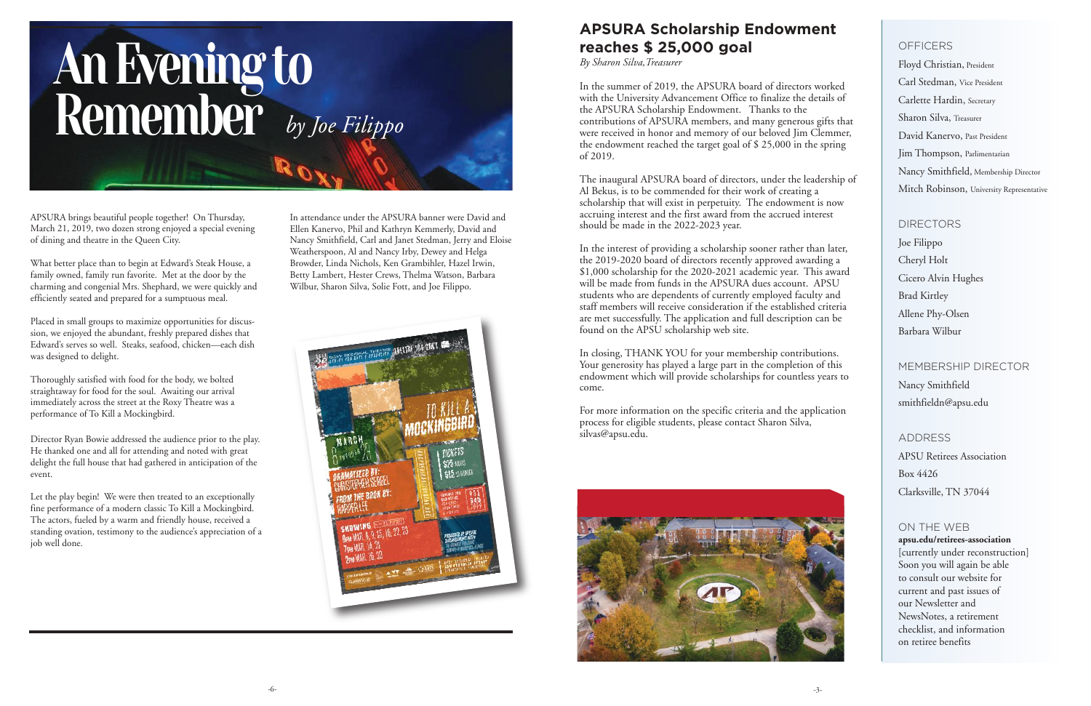## **APSURA Scholarship Endowment reaches \$ 25,000 goal**

*By Sharon Silva,Treasurer*

In the summer of 2019, the APSURA board of directors worked with the University Advancement Office to finalize the details of the APSURA Scholarship Endowment. Thanks to the contributions of APSURA members, and many generous gifts that were received in honor and memory of our beloved Jim Clemmer, the endowment reached the target goal of \$ 25,000 in the spring of 2019.

The inaugural APSURA board of directors, under the leadership of Al Bekus, is to be commended for their work of creating a scholarship that will exist in perpetuity. The endowment is now accruing interest and the first award from the accrued interest should be made in the 2022-2023 year.

In the interest of providing a scholarship sooner rather than later, the 2019-2020 board of directors recently approved awarding a \$1,000 scholarship for the 2020-2021 academic year. This award will be made from funds in the APSURA dues account. APSU students who are dependents of currently employed faculty and staff members will receive consideration if the established criteria are met successfully. The application and full description can be found on the APSU scholarship web site.

In closing, THANK YOU for your membership contributions. Your generosity has played a large part in the completion of this endowment which will provide scholarships for countless years to come.

For more information on the specific criteria and the application process for eligible students, please contact Sharon Silva, silvas@apsu.edu.



Floyd Christian, President Carl Stedman, Vice President Carlette Hardin, Secretary Sharon Silva, Treasurer David Kanervo, Past President Jim Thompson, Parlimentarian Nancy Smithfield, Membership Director Mitch Robinson, University Representative

## DIRECTORS

Joe Filippo Cheryl Holt Cicero Alvin Hughes Brad Kirtley Allene Phy-Olsen Barbara Wilbur

## MEMBERSHIP DIRECTOR Nancy Smithfield smithfieldn@apsu.edu

ADDRESS APSU Retirees Association Box 4426 Clarksville, TN 37044

### ON THE WEB **apsu.edu/retirees-association** [currently under reconstruction] Soon you will again be able to consult our website for current and past issues of our Newsletter and NewsNotes, a retirement checklist, and information on retiree benefits

# *by Joe Filippo* An Evening to Remember

APSURA brings beautiful people together! On Thursday, March 21, 2019, two dozen strong enjoyed a special evening of dining and theatre in the Queen City.

What better place than to begin at Edward's Steak House, a family owned, family run favorite. Met at the door by the charming and congenial Mrs. Shephard, we were quickly and efficiently seated and prepared for a sumptuous meal.

Placed in small groups to maximize opportunities for discussion, we enjoyed the abundant, freshly prepared dishes that Edward's serves so well. Steaks, seafood, chicken—each dish was designed to delight.

Thoroughly satisfied with food for the body, we bolted straightaway for food for the soul. Awaiting our arrival immediately across the street at the Roxy Theatre was a performance of To Kill a Mockingbird.

## **OFFICERS**

Director Ryan Bowie addressed the audience prior to the play. He thanked one and all for attending and noted with great delight the full house that had gathered in anticipation of the event.

Let the play begin! We were then treated to an exceptionally fine performance of a modern classic To Kill a Mockingbird. The actors, fueled by a warm and friendly house, received a standing ovation, testimony to the audience's appreciation of a job well done.

In attendance under the APSURA banner were David and Ellen Kanervo, Phil and Kathryn Kemmerly, David and Nancy Smithfield, Carl and Janet Stedman, Jerry and Eloise Weatherspoon, Al and Nancy Irby, Dewey and Helga Browder, Linda Nichols, Ken Grambihler, Hazel Irwin, Betty Lambert, Hester Crews, Thelma Watson, Barbara Wilbur, Sharon Silva, Solie Fott, and Joe Filippo.